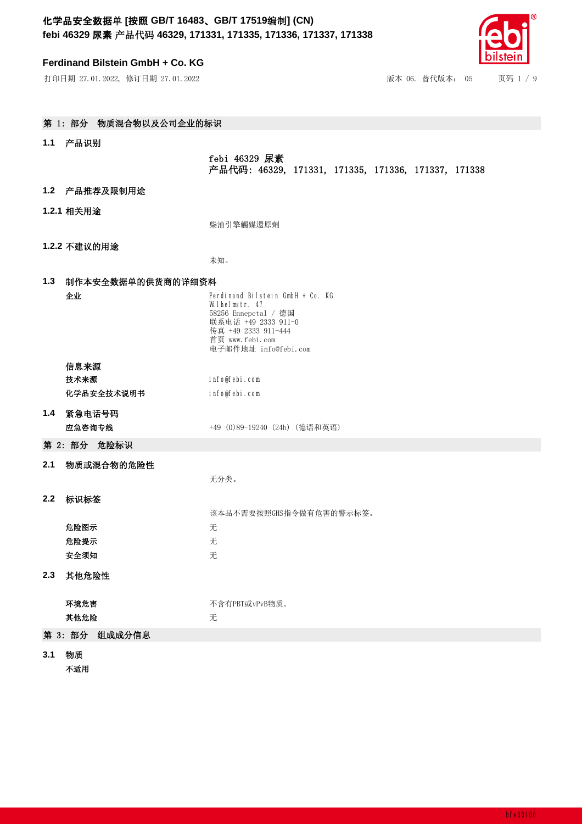## **Ferdinand Bilstein GmbH + Co. KG**

打印日期 27.01.2022, 修订日期 27.01.2022

| 版本 06. 替代版本: 05<br>页码 1 / 9 |
|-----------------------------|
|-----------------------------|

| 第 1: 部分 物质混合物以及公司企业的标识 |                  |                                                                                                                                                                     |  |
|------------------------|------------------|---------------------------------------------------------------------------------------------------------------------------------------------------------------------|--|
| 1.1 产品识别               |                  |                                                                                                                                                                     |  |
|                        |                  | febi 46329 尿素<br>产品代码: 46329, 171331, 171335, 171336, 171337, 171338                                                                                                |  |
|                        | 1.2 产品推荐及限制用途    |                                                                                                                                                                     |  |
|                        | 1.2.1 相关用途       |                                                                                                                                                                     |  |
|                        |                  | 柴油引擎觸媒還原劑                                                                                                                                                           |  |
|                        | 1.2.2 不建议的用途     |                                                                                                                                                                     |  |
|                        |                  | 未知。                                                                                                                                                                 |  |
| 1.3 制作本安全数据单的供货商的详细资料  |                  |                                                                                                                                                                     |  |
|                        | 企业               | Ferdinand Bilstein GmbH + Co. KG<br>Wilhelmstr. 47<br>58256 Ennepetal / 德国<br>联系电话 +49 2333 911-0<br>传真 +49 2333 911-444<br>首页 www.febi.com<br>电子邮件地址 info@febi.com |  |
|                        | 信息来源             |                                                                                                                                                                     |  |
|                        | 技术来源             | info@febi.com                                                                                                                                                       |  |
|                        | 化学品安全技术说明书       | info@febi.com                                                                                                                                                       |  |
| 1.4                    | 紧急电话号码<br>应急咨询专线 | +49 (0)89-19240 (24h) (德语和英语)                                                                                                                                       |  |
|                        | 第 2: 部分 危险标识     |                                                                                                                                                                     |  |
| 2.1                    | 物质或混合物的危险性       | 无分类。                                                                                                                                                                |  |
| 2.2                    | 标识标签             | 该本品不需要按照GHS指令做有危害的警示标签。                                                                                                                                             |  |
|                        | 危险图示             | 无                                                                                                                                                                   |  |
|                        | 危险提示             | 无                                                                                                                                                                   |  |
|                        | 安全须知             | 无                                                                                                                                                                   |  |
| 2.3                    | 其他危险性            |                                                                                                                                                                     |  |
|                        | 环境危害             | 不含有PBT或vPvB物质。                                                                                                                                                      |  |
|                        | 其他危险             | 无                                                                                                                                                                   |  |
|                        | 第 3: 部分 组成成分信息   |                                                                                                                                                                     |  |
|                        |                  |                                                                                                                                                                     |  |

- **3.1** ⢙䍘
	- 不适用

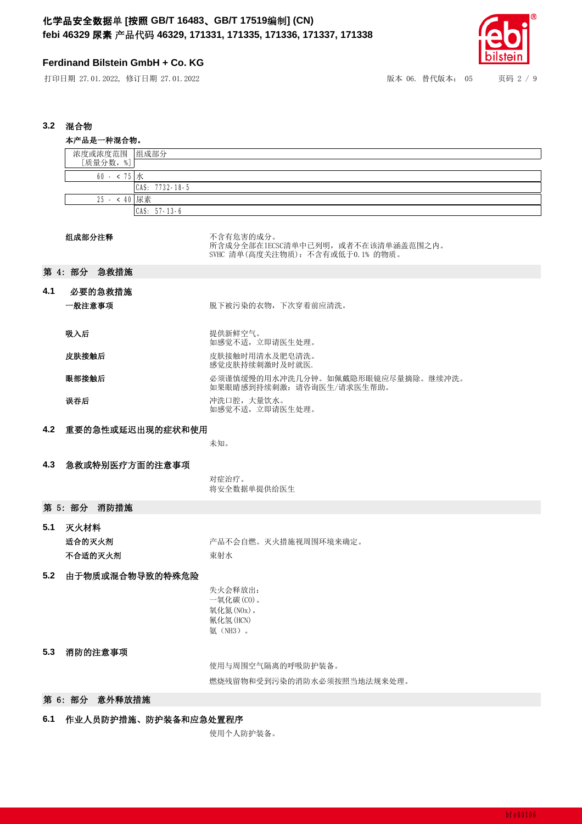# **Ferdinand Bilstein GmbH + Co. KG**

打印日期 27.01.2022, 修订日期 27.01.2022 <br>  **12.022.022, 修订日期 27.01.2022** <br>

22.02.02.02.02 <br>

22.02.02.02.02 <br>

22.02.02.02.02 <br>

22.02.02.02 <br>

22.02.02.02 <br>

22.02.02 <br>
22.02.02 <br>
22.02.02 <br>
22.02.02 <br>
22.02.02 <br>
22.02.02 <br>



## 3.2 混合物

|             | 本产品是一种混合物。                     |                                                                                     |  |
|-------------|--------------------------------|-------------------------------------------------------------------------------------|--|
|             | 浓度或浓度范围 组成部分                   |                                                                                     |  |
|             | [质量分数,%]                       |                                                                                     |  |
| 60 - < 75 水 |                                |                                                                                     |  |
|             | CAS: 7732-18-5<br>25 - < 40 尿素 |                                                                                     |  |
|             |                                | CAS: 57-13-6                                                                        |  |
|             |                                |                                                                                     |  |
|             | 组成部分注释                         | 不含有危害的成分。<br>所含成分全部在IECSC清单中已列明, 或者不在该清单涵盖范围之内。<br>SVHC 清单(高度关注物质): 不含有或低于0.1% 的物质。 |  |
|             | 第 4: 部分 急救措施                   |                                                                                     |  |
| 4.1         | 必要的急救措施<br>一般注意事项              | 脱下被污染的衣物, 下次穿着前应清洗。                                                                 |  |
|             |                                |                                                                                     |  |
|             | 吸入后                            | 提供新鲜空气。<br>如感觉不适, 立即请医生处理。                                                          |  |
|             | 皮肤接触后                          | 皮肤接触时用清水及肥皂清洗。<br>感觉皮肤持续刺激时及时就医.                                                    |  |
|             | 眼部接触后                          | 必须谨慎缓慢的用水冲洗几分钟。如佩戴隐形眼镜应尽量摘除。继续冲洗。<br>如果眼睛感到持续刺激: 请咨询医生/请求医生帮助。                      |  |
|             | 误吞后                            | 冲洗口腔,大量饮水。<br>如感觉不适, 立即请医生处理。                                                       |  |
| 4.2         | 重要的急性或延迟出现的症状和使用               |                                                                                     |  |
|             |                                | 未知。                                                                                 |  |
|             |                                |                                                                                     |  |
| 4.3         | 急救或特别医疗方面的注意事项                 |                                                                                     |  |
|             |                                | 对症治疗。<br>将安全数据单提供给医生                                                                |  |
|             | 第 5: 部分 消防措施                   |                                                                                     |  |
| 5.1         | 灭火材料                           |                                                                                     |  |
|             | 适合的灭火剂                         | 产品不会自燃。灭火措施视周围环境来确定。                                                                |  |
|             | 不合适的灭火剂                        | 束射水                                                                                 |  |
|             |                                |                                                                                     |  |
| $5.2$       | 由于物质或混合物导致的特殊危险                | 失火会释放出:<br>一氧化碳(CO)。<br>氧化氮(NOx)。<br>氰化氢(HCN)<br>氨 (NH3)。                           |  |
| 5.3         | 消防的注意事项                        |                                                                                     |  |
|             |                                | 使用与周围空气隔离的呼吸防护装备。                                                                   |  |
|             |                                | 燃烧残留物和受到污染的消防水必须按照当地法规来处理。                                                          |  |
|             | 第 6: 部分 意外释放措施                 |                                                                                     |  |
| 6.1         | 作业人员防护措施、防护装备和应急处置程序           |                                                                                     |  |

使用个人防护装备。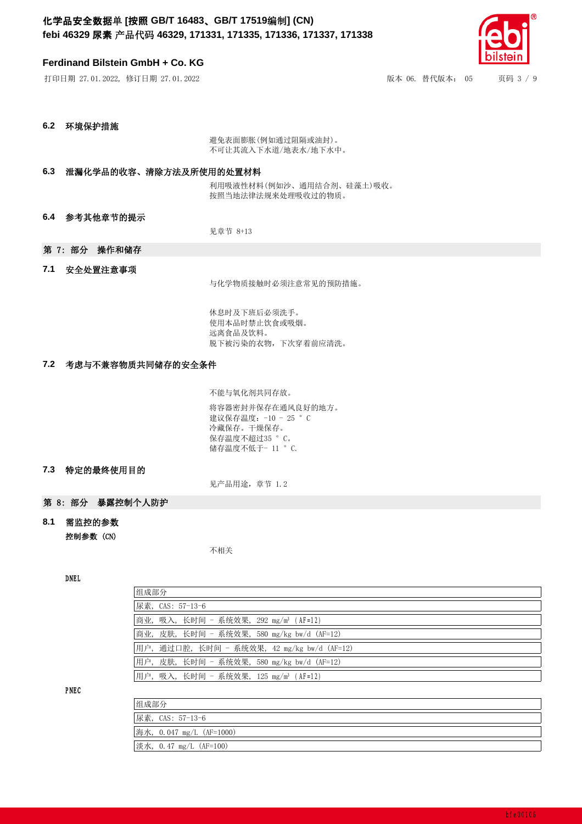## **Ferdinand Bilstein GmbH + Co. KG**

打印日ᵏ 27.01.2022, 修䇒日ᵏ 27.01.2022 版本 06. 替代版本: 05 页码 3 / 9

**6.2** ⧟境保护措施

避免表面膨胀(例如通过阻隔或油封)。 不可让其流入下水道/地表水/地下水中。

### 6.3 泄漏化学品的收容、清除方法及所使用的处置材料

利用吸液性材料(例如沙、通用结合剂、硅藻土)吸收。 按照当地法律法规来处理吸收过的物质。

6.4 参考其他章节的提示

见章节 8+13

## 第 7: 部分 操作和储存

### 7.1 安全处置注意事项

与化学物质接触时必须注意常见的预防措施。

休息时及下班后必须洗手。 使用本品时禁止饮食或吸烟。 远离食品及饮料。 脱下被污染的衣物,下次穿着前应清洗。

### 7.2 考虑与不兼容物质共同储存的安全条件

不能与氧化剂共同存放。

将容器密封并保存在通风良好的地方。 建议保存温度: -10 - 25 ° C 冷藏保存。干燥保存。 保存温度不超过35 °C。 储存温度不低于- 11 °C.

### 7.3 特定的最终使用目的

见产品用途,章节 1.2

### 第 8: 部分 暴露控制个人防护

8.1 需监控的参数 控制参数 (CN)

不相关

### DNEL

| 组成部分                                              |  |  |
|---------------------------------------------------|--|--|
| 尿素, CAS: 57-13-6                                  |  |  |
| 商业, 吸入, 长时间 - 系统效果, 292 mg/m <sup>3</sup> (AF=12) |  |  |
| 商业, 皮肤, 长时间 - 系统效果, 580 mg/kg bw/d (AF=12)        |  |  |
| 用户,通过口腔,长时间 - 系统效果,42 mg/kg bw/d(AF=12)           |  |  |
| 用户,皮肤,长时间 - 系统效果,580 mg/kg bw/d(AF=12)            |  |  |
| 用户,吸入,长时间 - 系统效果,125 mg/m <sup>3</sup> (AF=12)    |  |  |

PNEC

| 组成部分                     |
|--------------------------|
| 尿素, CAS: 57-13-6         |
| 海水, 0.047 mg/L (AF=1000) |
| 淡水, 0.47 mg/L (AF=100)   |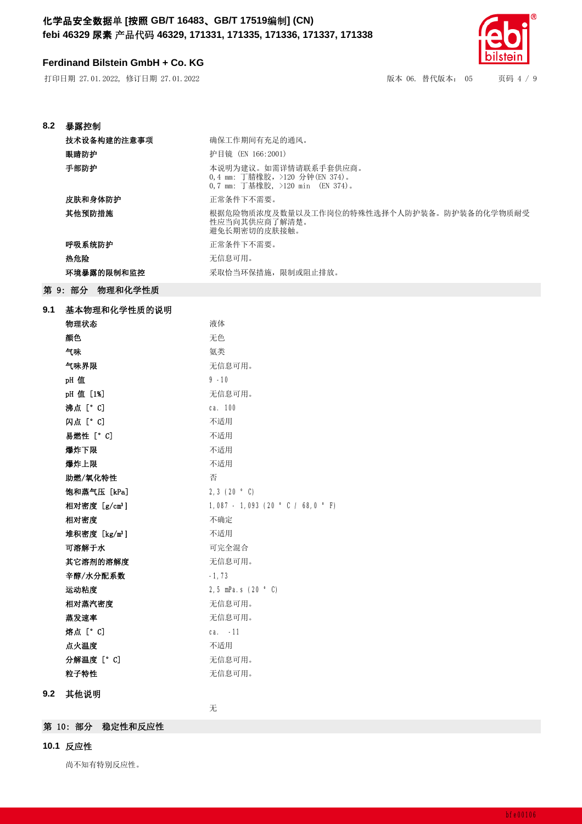# **Ferdinand Bilstein GmbH + Co. KG**

打印日期 27.01.2022, 修订日期 27.01.2022 <br>  **12.022.022, 修订日期 27.01.2022** <br>

22.02.02.02.02 <br>

22.02.02.02.02 <br>

22.02.02.02.02 <br>

22.02.02.02.02 <br>
22.02.02.02 <br>
22.02.02 <br>
22.02.02 <br>
22.02.02.02 <br>
22.02.02 <br>
22.02.02 <br>
22.02.

| 8.2 | 暴露控制                      |                                                                                             |
|-----|---------------------------|---------------------------------------------------------------------------------------------|
|     | 技术设备构建的注意事项               | 确保工作期间有充足的通风。                                                                               |
|     | 眼睛防护                      | 护目镜 (EN 166:2001)                                                                           |
|     | 手部防护                      | 本说明为建议。如需详情请联系手套供应商。<br>0,4 mm: 丁腈橡胶, >120 分钟 (EN 374)。<br>0,7 mm: 丁基橡胶, >120 min (EN 374)。 |
|     | 皮肤和身体防护                   | 正常条件下不需要。                                                                                   |
|     | 其他预防措施                    | 根据危险物质浓度及数量以及工作岗位的特殊性选择个人防护装备。防护装备的化学物质耐受                                                   |
|     |                           | 性应当向其供应商了解清楚。<br>避免长期密切的皮肤接触。                                                               |
|     | 呼吸系统防护                    | 正常条件下不需要。                                                                                   |
|     | 热危险                       | 无信息可用。                                                                                      |
|     | 环境暴露的限制和监控                | 采取恰当环保措施, 限制或阻止排放。                                                                          |
|     | 第 9: 部分 物理和化学性质           |                                                                                             |
| 9.1 | 基本物理和化学性质的说明              |                                                                                             |
|     | 物理状态                      | 液体                                                                                          |
|     | 颜色                        | 无色                                                                                          |
|     | 气味                        | 氨类                                                                                          |
|     | 气味界限                      | 无信息可用。                                                                                      |
|     | pH 值                      | $9 - 10$                                                                                    |
|     | pH 值 [1%]                 | 无信息可用。                                                                                      |
|     | 沸点 [° C]                  | ca. 100                                                                                     |
|     | 闪点 [° C]                  | 不适用                                                                                         |
|     | 易燃性 [°C]                  | 不适用                                                                                         |
|     | 爆炸下限                      | 不适用                                                                                         |
|     | 爆炸上限                      | 不适用                                                                                         |
|     | 助燃/氧化特性                   | 否                                                                                           |
|     | 饱和蒸气压 [kPa]               | 2, 3 $(20 ° C)$                                                                             |
|     | 相对密度 [g/cm <sup>3</sup> ] | $1,087 - 1,093$ (20 ° C / 68,0 ° F)                                                         |
|     | 相对密度                      | 不确定                                                                                         |
|     | 堆积密度 [kg/m <sup>3</sup> ] | 不适用                                                                                         |
|     | 可溶解于水                     | 可完全混合                                                                                       |
|     | 其它溶剂的溶解度                  | 无信息可用。                                                                                      |
|     | 辛醇/水分配系数                  | $-1, 73$                                                                                    |
|     | 运动粘度                      | 2,5 mPa.s $(20 ° C)$                                                                        |
|     | 相对蒸汽密度                    | 无信息可用。                                                                                      |
|     | 蒸发速率                      | 无信息可用。                                                                                      |
|     | 熔点 [° C]                  | ca. -11                                                                                     |
|     | 点火温度                      | 不适用                                                                                         |
|     | 分解温度 [° C]                | 无信息可用。                                                                                      |
|     | 粒子特性                      | 无信息可用。                                                                                      |
| 9.2 | 其他说明                      |                                                                                             |

无

第 10: 部分 稳定性和反应性

## **10.1** 反应性

尚不知有特别反应性。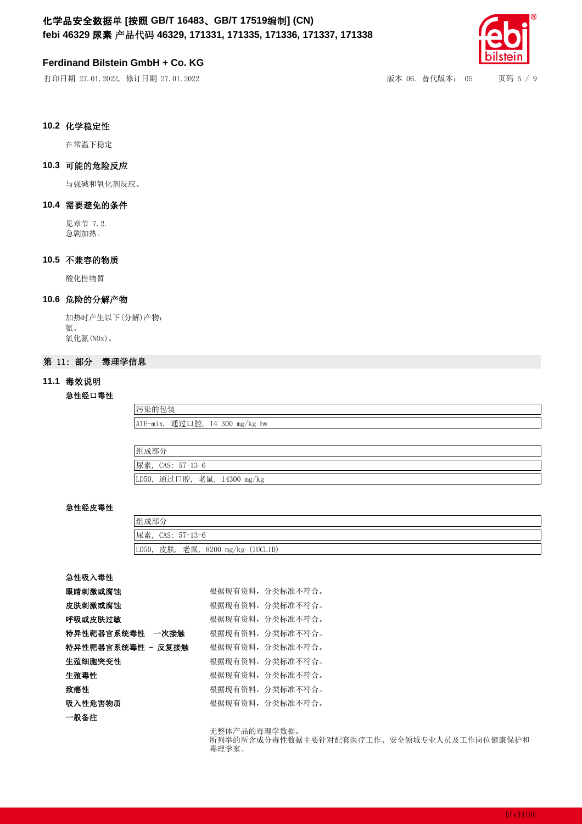## **Ferdinand Bilstein GmbH + Co. KG**

打印日期 27.01.2022, 修订日期 27.01.2022 <br> **Kanada Kanada Kanada Kanada Kanada Kanada Kanada Kanada Kanada Kanada Kanada Kanada Kanada Kanada Kanada Kana** 



## 10.2 化学稳定性

在常温下稳定

## **10.3** 可㜭Ⲵ危䲙反应

与强碱和氧化剂反应。

### 10.4 需要避免的条件

见章节 7.2. 急剧加热。

## 10.5 不兼容的物质

酸化性物質

### **10.6** 危䲙Ⲵ分䀓产⢙

加热时产生以下(分解)产物: 氨。 氧化氮(NOx)。

## 第 11: 部分 毒理学信息

## 11.1 毒效说明

### 急性经口毒性

污染的包装 ATE-mix, 通过口腔, 14 300 mg/kg bw

| 组成部分                                   |
|----------------------------------------|
| 尿素, CAS: 57-13-6                       |
| 通过口腔,<br>老鼠,<br>LD50,<br>$14300$ mg/kg |

#### 急性经皮毒性

| 组成部分                                 |
|--------------------------------------|
| 尿素, CAS: 57-13-6                     |
| 皮肤, 老鼠, 8200 mg/kg (IUCLID)<br>LD50, |

#### 急性吸入毒性

| 眼睛刺激或腐蚀           | 根据现有资料, 分类标准不符合。 |
|-------------------|------------------|
| 皮肤刺激或腐蚀           | 根据现有资料, 分类标准不符合。 |
| 呼吸或皮肤过敏           | 根据现有资料,分类标准不符合。  |
| 特异性靶器官系统毒性 一次接触   | 根据现有资料, 分类标准不符合。 |
| 特异性靶器官系统毒性 - 反复接触 | 根据现有资料,分类标准不符合。  |
| 生殖细胞突变性           | 根据现有资料,分类标准不符合。  |
| 牛殖毒性              | 根据现有资料,分类标准不符合。  |
| 致癌性               | 根据现有资料,分类标准不符合。  |
| 吸入性危害物质           | 根据现有资料,分类标准不符合。  |
| 一般备注              |                  |

无整体产品的毒理学数据。 所列举的所含成分毒性数据主要针对配套医疗工作、安全领域专业人员及工作岗位健康保护和 毒理学家。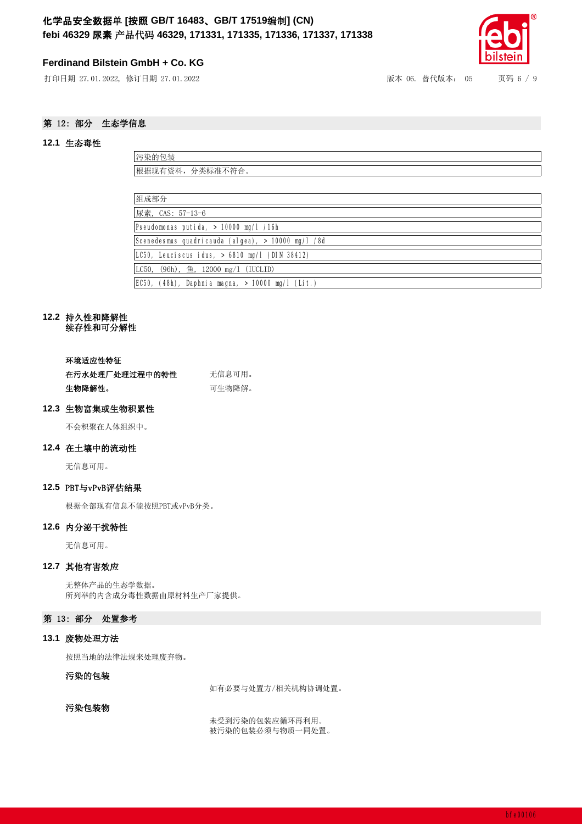## **Ferdinand Bilstein GmbH + Co. KG**

打印日期 27.01.2022, 修订日期 27.01.2022 <br>  **2020, 12.022, 修订日期 27.01.2022** <br>
2021 <br>
2022 <br>
2022 <br>
2022 <br>
2022 <br>
2022 <br>
2022 <br>
2022 <br>
2022 <br>
2023 <br>
2023 <br>
2023 <br>
2023 <br>
2023 <br>
2023 <br>
2023 <br>
2023 <br>
2023 <br>
2023 <br>
2023 <br>
2023 <br>
2



## 第 12: 部分 生态学信息

#### **12.1** ⭏态∂性

| 污染的包装                                 |
|---------------------------------------|
| 根据现有资料, 分类标准不符合。                      |
|                                       |
| 组成部分                                  |
| 尿素, CAS: 57-13-6                      |
| Pseudomonas putida, > 10000 mg/l /16h |

Scenedesmus quadricauda (algea), > 10000 mg/l /8d LC50, Leuciscus idus, > 6810 mg/l (DIN 38412) LC50, (96h), 鱼, 12000 mg/l (IUCLID)

EC50, (48h), Daphnia magna, > 10000 mg/l (Lit.)

# 12.2 持久性和降解性

续存性和可分解性

#### 环境适应性特征

| 在污水处理厂处理过程中的特性 | 无信息可用。 |
|----------------|--------|
| 生物降解性。         | 可牛物降解。 |

#### 12.3 生物富集或生物积累性

不会积聚在人体组织中。

#### **12.4** 在土壤中Ⲵ⍱动性

无信息可用。

## 12.5 PBT与vPvB评估结果

根据全部现有信息不能按照PBT或vPvB分类。

#### 12.6 内分泌干扰特性

无信息可用。

### **12.7** 其他ᴹ害效应

无整体产品的生态学数据。 所列举的内含成分毒性数据由原材料生产厂家提供。

## 第 13: 部分 处置参考

### **13.1** 废⢙处⨶方⌅

按照当地的法律法规来处理废弃物。

#### 污染的包装

如有必要与处置方/相关机构协调处置。

### 污染包装物

未受到污染的包装应循环再利用。 被污染的包装必须与物质一同处置。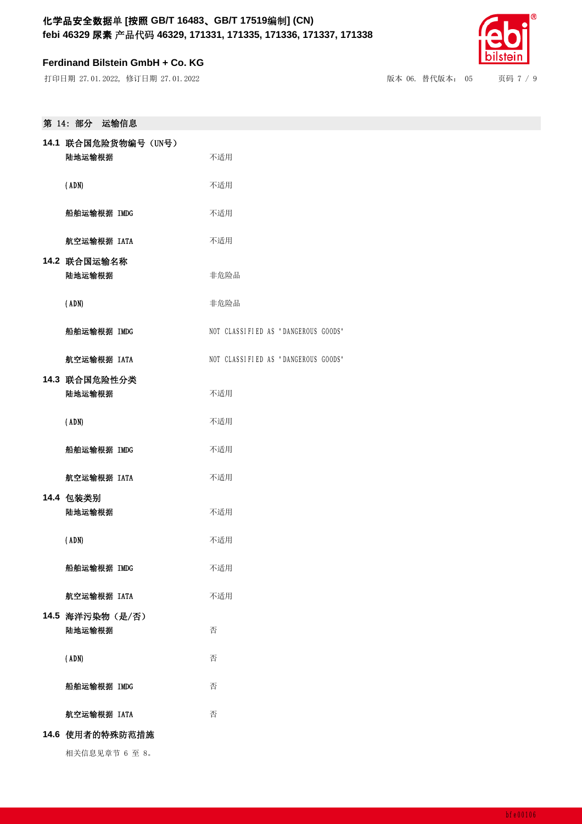## **Ferdinand Bilstein GmbH + Co. KG**

打印日期 27.01.2022, 修订日期 27.01.2022 <br>  **12.02020 12.01.2022 <br>
22.02.020 12.022, 修订日期 27.01.2022 <br>
22.02.020 12.020 <br>
22.02.020 12.020 12.020 12.020 12.020 12.030 12.040 12.040 12.040 12.040 12.040 12.040 12.040 12.040 12.** 

| 第 14: 部分 运输信息                  |                                     |  |
|--------------------------------|-------------------------------------|--|
| 14.1 联合国危险货物编号 (UN号)<br>陆地运输根据 | 不适用                                 |  |
| (ADN)                          | 不适用                                 |  |
| 船舶运输根据 IMDG                    | 不适用                                 |  |
| 航空运输根据 IATA                    | 不适用                                 |  |
| 14.2 联合国运输名称<br>陆地运输根据         | 非危险品                                |  |
| (ADN)                          | 非危险品                                |  |
| 船舶运输根据 IMDG                    | NOT CLASSIFIED AS "DANGEROUS GOODS" |  |
| 航空运输根据 IATA                    | NOT CLASSIFIED AS "DANGEROUS GOODS" |  |
| 14.3 联合国危险性分类<br>陆地运输根据        | 不适用                                 |  |
| (ADN)                          | 不适用                                 |  |

船舶运输根据 IMDG **THE TEAM THE TEAM THE TEAM THE TEAM THE TEAM THE TEAM THE TEAM THE TEAM THE TEAM THE TEAM THE TEAM THE TEAM THE TEAM THE TEAM THE TEAM THE TEAM THE TEAM THE TEAM THE TEAM THE TEAM THE TEAM THE TEAM THE TEAM T** 航空运输根据 IATA **The Control Table Thank** 

- 14.4 包装类别 陆地运输根据 不适用
	- (ADN) 不适用 船舶运输根据 IMDG **THE TEAM THE TEAM THE TEAM THE TEAM THE TEAM THE TEAM THE TEAM THE TEAM THE TEAM THE TEAM THE TEAM THE TEAM THE TEAM THE TEAM THE TEAM THE TEAM THE TEAM THE TEAM THE TEAM THE TEAM THE TEAM THE TEAM THE TEAM T**
- 航空运输根据 IATA **The Control Table of The Table** 14.5 海洋污染物 (是/否) 陆地运输根据 **不可以** 不可

| (ADN) | 否 |
|-------|---|
|-------|---|

- 船舶运输根据 IMDG **TELL TELL TELL TELL** 否
- 航空运输根据 IATA **TELED TELECT** 否
- 14.6 使用者的特殊防范措施

相关信息见章节 6 至 8。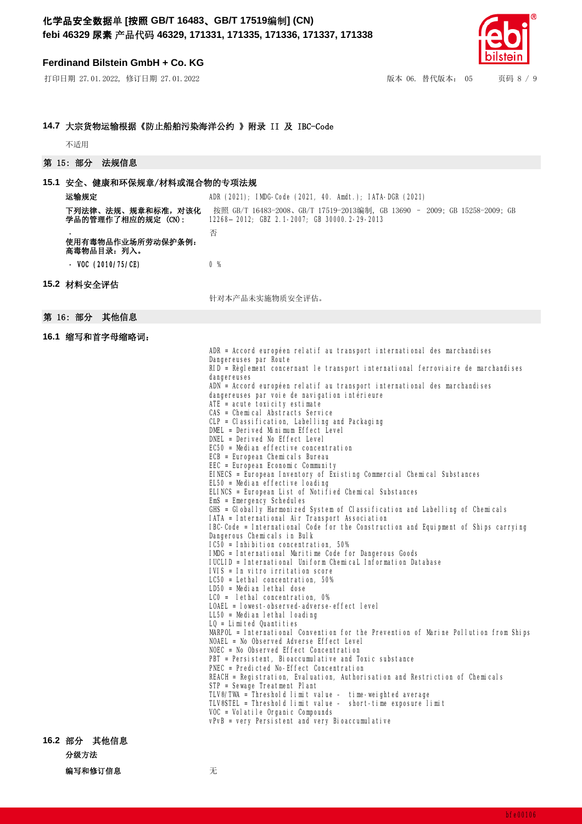#### **Ferdinand Bilstein GmbH + Co. KG**

打印日ᵏ 27.01.2022, 修䇒日ᵏ 27.01.2022 版本 06. 替代版本: 05 页码 8 / 9



#### 14.7 大宗货物运输根据《防止船舶污染海洋公约 》附录 II 及 IBC-Code

不适用

#### 第 15: 部分 法规信息

#### 15.1 安全、健康和环保规章/材料或混合物的专项法规

| 运输规定                                   | ADR (2021); IMDG-Code (2021, 40. Amdt.); IATA-DGR (2021)                                                                                                                                                                                                                                                                                                                       |
|----------------------------------------|--------------------------------------------------------------------------------------------------------------------------------------------------------------------------------------------------------------------------------------------------------------------------------------------------------------------------------------------------------------------------------|
| 下列法律、法规、规章和标准,对该化<br>学品的管理作了相应的规定(CN): | 按照 GB/T 16483-2008、GB/T 17519-2013编制,GB 13690 - 2009; GB 15258-2009; GB<br>12268-2012; GBZ 2.1-2007; GB 30000.2-29-2013                                                                                                                                                                                                                                                        |
| 使用有毒物品作业场所劳动保护条例:<br>高毒物品目录: 列入。       | 否                                                                                                                                                                                                                                                                                                                                                                              |
| - VOC $(2010/75/CE)$                   | 0 <sup>96</sup>                                                                                                                                                                                                                                                                                                                                                                |
| 15.2 材料安全评估                            |                                                                                                                                                                                                                                                                                                                                                                                |
|                                        | 针对本产品未实施物质安全评估。                                                                                                                                                                                                                                                                                                                                                                |
| 第 16: 部分 其他信息                          |                                                                                                                                                                                                                                                                                                                                                                                |
| 16.1 缩写和首字母缩略词:                        |                                                                                                                                                                                                                                                                                                                                                                                |
|                                        | ADR = Accord européen relatif au transport international des marchandises<br>Dangereuses par Route<br>RID = Règlement concernant le transport international ferroviaire de marchandises<br>dangereuses<br>ADN = Accord européen relatif au transport international des marchandises<br>dangereuses par voie de navigation intérieure<br>ملحمد المتحمين المتحمل ملابيهم المحالة |

 $ATE = acute$  toxicity estimate CAS = Chemical Abstracts Service

CLP = Classification, Labelling and Packaging

- DMEL = Derived Minimum Effect Level
- 
- DNEL = Derived No Effect Level

EC50 = Median effective concentration

- ECB = European Chemicals Bureau
- EEC = European Economic Community
- EINECS = European Inventory of Existing Commercial Chemical Substances

EL50 = Median effective loading

- ELINCS = European List of Notified Chemical Substances
- EmS = Emergency Schedules
- GHS = Globally Harmonized System of Classification and Labelling of Chemicals

IATA = International Air Transport Association

IBC-Code = International Code for the Construction and Equipment of Ships carrying Dangerous Chemicals in Bulk

- $IC50 = Inhibi$  tion concentration, 50%
- IMDG = International Maritime Code for Dangerous Goods
- IUCLID = International Uniform ChemicaL Information Database
- IVIS = In vitro irritation score
- LC50 = Lethal concentration, 50%
- LD50 = Median lethal dose
- LC0 = lethal concentration, 0%
- LOAEL = lowest-observed-adverse-effect level
- LL50 = Median lethal loading
- $LO = Limited$  Quantities

MARPOL = International Convention for the Prevention of Marine Pollution from Ships NOAEL = No Observed Adverse Effect Level

NOEC = No Observed Effect Concentration

PBT = Persistent, Bioaccumulative and Toxic substance

PNEC = Predicted No-Effect Concentration REACH = Registration, Evaluation, Authorisation and Restriction of Chemicals

- STP = Sewage Treatment Plant
	- TLV®/TWA = Threshold limit value time-weighted average
	- TLV®STEL = Threshold limit value short-time exposure limit
	- VOC = Volatile Organic Compounds

vPvB = very Persistent and very Bioaccumulative